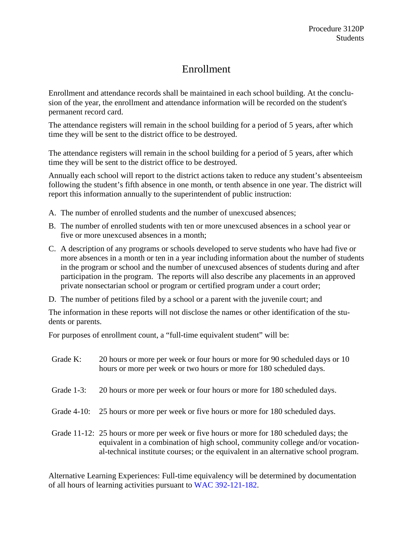## Enrollment

Enrollment and attendance records shall be maintained in each school building. At the conclusion of the year, the enrollment and attendance information will be recorded on the student's permanent record card.

The attendance registers will remain in the school building for a period of 5 years, after which time they will be sent to the district office to be destroyed.

The attendance registers will remain in the school building for a period of 5 years, after which time they will be sent to the district office to be destroyed.

Annually each school will report to the district actions taken to reduce any student's absenteeism following the student's fifth absence in one month, or tenth absence in one year. The district will report this information annually to the superintendent of public instruction:

- A. The number of enrolled students and the number of unexcused absences;
- B. The number of enrolled students with ten or more unexcused absences in a school year or five or more unexcused absences in a month;
- C. A description of any programs or schools developed to serve students who have had five or more absences in a month or ten in a year including information about the number of students in the program or school and the number of unexcused absences of students during and after participation in the program. The reports will also describe any placements in an approved private nonsectarian school or program or certified program under a court order;
- D. The number of petitions filed by a school or a parent with the juvenile court; and

The information in these reports will not disclose the names or other identification of the students or parents.

For purposes of enrollment count, a "full-time equivalent student" will be:

| Grade K:       | 20 hours or more per week or four hours or more for 90 scheduled days or 10<br>hours or more per week or two hours or more for 180 scheduled days.                                                                                                                |
|----------------|-------------------------------------------------------------------------------------------------------------------------------------------------------------------------------------------------------------------------------------------------------------------|
| Grade $1-3$ :  | 20 hours or more per week or four hours or more for 180 scheduled days.                                                                                                                                                                                           |
| Grade $4-10$ : | 25 hours or more per week or five hours or more for 180 scheduled days.                                                                                                                                                                                           |
|                | Grade 11-12: 25 hours or more per week or five hours or more for 180 scheduled days; the<br>equivalent in a combination of high school, community college and/or vocation-<br>al-technical institute courses; or the equivalent in an alternative school program. |

Alternative Learning Experiences: Full-time equivalency will be determined by documentation of all hours of learning activities pursuant to [WAC 392-121-182.](http://apps.leg.wa.gov/wac/default.aspx?cite=392-121-182)